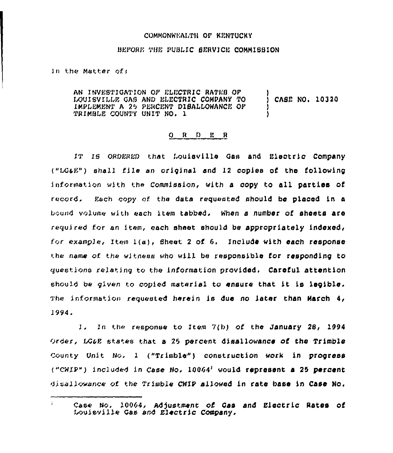## COMMONWEALTH OF KENTUCKY

## BEFORE THE PUBLIC SERVICE COMMISSION

in the Matter of:

AN INVESTIGATION OF ELECTRIC RATES OF LOUISVILLE GAS AND ELECTRIC COMPANY TO CASE NO. 10320 IMPLEMENT A 25 PERCENT DIBALLOWANCE OF TRIMBLE COUNTY UNIT NO. 1

## ORDER

IT IS ORDERED that Louisville Gas and Electric Company ("LG&E") shall file an original and 12 copies of the following information with the Commission, with a copy to all parties of record. Each copy of the data requested should be placed in a bound volume with each item tabbed. When a number of sheets are required for an item, each sheet should be appropriately indexed, for example, Item 1(a), Sheet 2 of 6. Include with each response the name of the witness who will be responsible for responding to questions relating to the information provided. Careful attention should be given to copied material to ensure that it is legible. The information requested herein is due no later than March 4, 1994.

1. In the response to Item 7(b) of the January 28, 1994 Order, LG&E states that a 25 percent disallowance of the Trimble County Unit No. 1 ("Trimble") construction work in progress ("CWIP") included in Case No.  $10064<sup>1</sup>$  would represent a 25 percent disallowance of the Trimble CHIP allowed in rate base in Case No.

 $\mathcal{I}^{\pm}$ Case No. 10064, Adjustment of Gas and Electric Rates of Louisville Gas and Electric Company.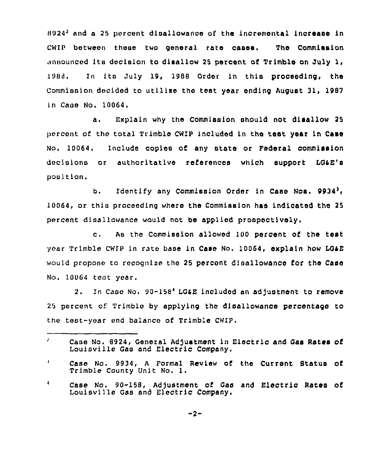$8924<sup>3</sup>$  and a 25 percent disallowance of the incremental increase in CHIP between these two general rate cases. The Commission announced its decision to disallow 25 percent of Trimble on July 1, 1988. In its July 19, 1988 Order in this proceeding, the Commission decided to utllise the test year ending August 31, 1987 in Case No. 10064.

a. Explain why the Commission should not disallow <sup>25</sup> percent of the total Trimble CWIP included in the test year in Case No. 10064. Include copies of any state or Federal commission decisions or authoritative references which support LG4E's position.

b. Identify any Commission Order in Case Nos. 9934<sup>3</sup>. 10064, or this proceeding where the Commission has indicated the 25 percent disallowance would not be applied prospectively'.

As the commission allowed 100 percent of the test  $c_{\cdot}$ year Trimble cwIF in rate base in Case No, 10064, explain how LGaE would propose to recognize the 25 percent disallowance for the Case No. 10064 tent year,

2. In Case No. 90-158<sup>4</sup> LG4E included an adjustment to remove 25 percent of Trimblo by applying the disallowance percentage to the test-year end balance of Trimble CWIP.

Ź. Case No. 8924, General Adjustment in Electric and Gas Rates of Louisville Gas and Electric Company.

 $\pmb{\mathsf{J}}$ Case No. 9934, <sup>A</sup> Formal Review of the Current Status of Trimble County Unit No. 1,

<sup>4</sup> Case No. 90-158, Adjustment of Gas and Electric Rates of Louisville Gas and Electric Company,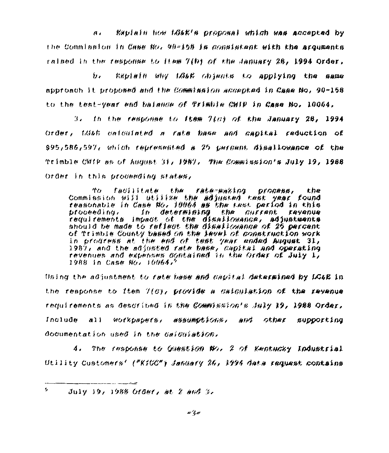$\overline{a}$ Explain how tB&E's proposal whigh was accepted by the Commission in Case No. 90-158 is consistent with the arguments raised in the response to Hem 7(b) of the January 28, 1994 Order,

 $\mathbf{h}$ . Explain why LG6E objects to applying the same approach it proposed and the Commission accepted in Case No. 90-158 to the test-year end balance of Trimble CWIP in Case No. 10064.

 $3.$  . In the response to frem  $7(a)$  of the January 28, 1994. Order, tG&b calculated a rate base and capital reduction of \$95,586,597, which represented a 25 pargant disallowance of the Trimble CWiP as of August 31, 1987. The Commission's July 19, 1988 Order in this proveeding states,

facilitate the rate-making process, the ተረታ Commission will utilize the adjusted nest year found reasonable in Case No. 10064 as the nest period in this<br>proceeding. In determining the surrent revenue requirements impact of the disallowance, adjustments should be made to reflect the disallowance of 25 percent of Trimble County based on the level of gonstruction work in progress at the end of test year ended August 31,<br>1987, and the adjusted rate base, capital and operating revenues and expenses contained in the Order of July 1, 1988 in Case No. 10064,9

Using the adjustment to rate hase and capital determined by IG&B in the response to Item 7(6), provide a calculation of the revenue requirements as described in the Commission's July 19, 1988 Order, Include all workpapers, assumptions, and other supporting documentation used in the calculation,

4. The response to Guestion No. 2 of Kentucky Industrial Utility Customers' ("KiCC") January 26, 1996 data request contains

s.  $J$ uly 19, 1988 Order, at 2 and 3,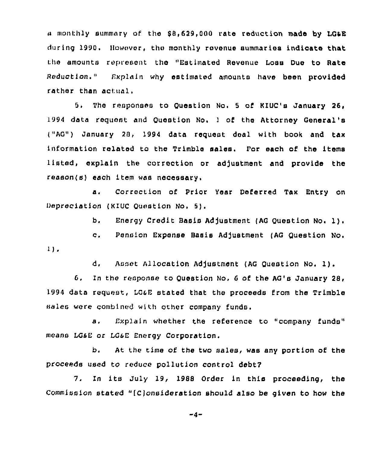monthly summary of the 88,629,000 rate reduction made by LG4E during 1990. Ilowever, the monthly revenue summaries indicate that the amounts represent the "Estimated Revenue Loss Due to Rate Reduction." Explain why estimated amounts have been provided rather than actual.

5. The responses to Question No. 5 of KIUC's January 26, 1994 data request and Question No. 1 of the Attorney General's ("AG") January 28, 1994 data request deal with book and tax information related to the Trimble sales. Por each of the items listed, explain the correction or adjustment and provide the reason(s) each item was necessary.

a. Correction of Prior Year Deferred Tax Entry on Depreciation (KIUC Question No. 5).

b. Energy Credit Basis Adjustment (AG Question No. 1).

c. Pension Expense Basis Adjustment (AG Question No.  $1)$ .

d. Asset Allocation Adjustment (AG Question No. 1).

6. In the response to Question No. <sup>6</sup> of the AG's January 28, 1994 data request, LG&E stated that the proceeds from the Trimble sales were combined with other company funds.

a. Explain whether the reference to "company funds" means LG6E or LG6E Lnergy Corporation.

b. At the time of the two sales, was any portion of the proceeds used to reduce pollution control debt7

7. In its July 19, 1988 Order in this proceeding, the commission stated "(c)onsiderstion should also be given to how the

 $-4-$